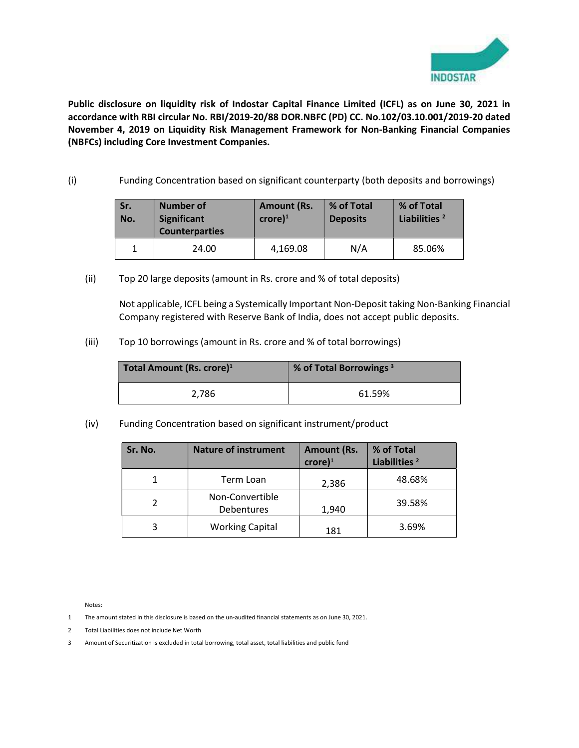

Public disclosure on liquidity risk of Indostar Capital Finance Limited (ICFL) as on June 30, 2021 in accordance with RBI circular No. RBI/2019-20/88 DOR.NBFC (PD) CC. No.102/03.10.001/2019-20 dated November 4, 2019 on Liquidity Risk Management Framework for Non-Banking Financial Companies (NBFCs) including Core Investment Companies.

(i) Funding Concentration based on significant counterparty (both deposits and borrowings)

| Sr.<br>No. | <b>Number of</b><br><b>Significant</b><br><b>Counterparties</b> | <b>Amount (Rs.</b><br>$core)^1$ | % of Total<br><b>Deposits</b> | % of Total<br>Liabilities <sup>2</sup> |
|------------|-----------------------------------------------------------------|---------------------------------|-------------------------------|----------------------------------------|
|            | 24.00                                                           | 4,169.08                        | N/A                           | 85.06%                                 |

(ii) Top 20 large deposits (amount in Rs. crore and % of total deposits)

Not applicable, ICFL being a Systemically Important Non-Deposit taking Non-Banking Financial Company registered with Reserve Bank of India, does not accept public deposits.

(iii) Top 10 borrowings (amount in Rs. crore and % of total borrowings)

| Total Amount (Rs. crore) <sup>1</sup> | % of Total Borrowings <sup>3</sup> |  |
|---------------------------------------|------------------------------------|--|
| 2,786                                 | 61.59%                             |  |

(iv) Funding Concentration based on significant instrument/product

| Sr. No. | <b>Nature of instrument</b>   | <b>Amount (Rs.</b><br>$\text{core}$ <sup>1</sup> | % of Total<br>Liabilities <sup>2</sup> |
|---------|-------------------------------|--------------------------------------------------|----------------------------------------|
|         | Term Loan                     | 2,386                                            | 48.68%                                 |
|         | Non-Convertible<br>Debentures | 1,940                                            | 39.58%                                 |
|         | <b>Working Capital</b>        | 181                                              | 3.69%                                  |

Notes:

- 1 The amount stated in this disclosure is based on the un-audited financial statements as on June 30, 2021.
- 2 Total Liabilities does not include Net Worth

3 Amount of Securitization is excluded in total borrowing, total asset, total liabilities and public fund